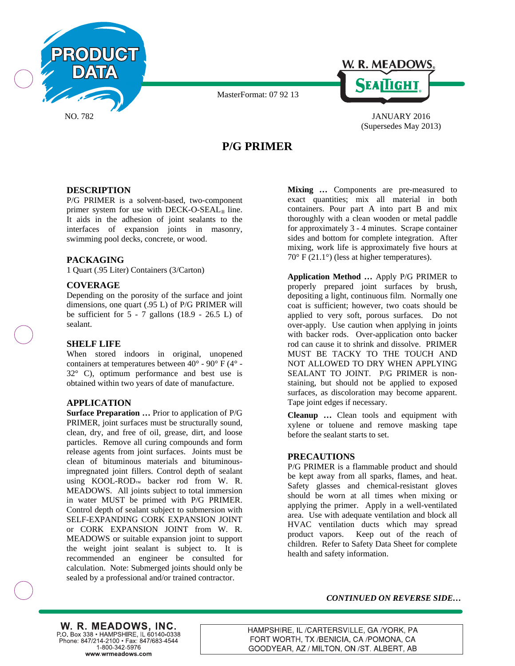



(Supersedes May 2013)

# **P/G PRIMER**

MasterFormat: 07 92 13

## **DESCRIPTION**

P/G PRIMER is a solvent-based, two-component primer system for use with DECK-O-SEAL<sup>®</sup> line. It aids in the adhesion of joint sealants to the interfaces of expansion joints in masonry, swimming pool decks, concrete, or wood.

## **PACKAGING**

1 Quart (.95 Liter) Containers (3/Carton)

## **COVERAGE**

Depending on the porosity of the surface and joint dimensions, one quart (.95 L) of P/G PRIMER will be sufficient for  $5 - 7$  gallons (18.9 - 26.5 L) of sealant.

## **SHELF LIFE**

When stored indoors in original, unopened containers at temperatures between 40° - 90° F (4° - 32° C), optimum performance and best use is obtained within two years of date of manufacture.

## **APPLICATION**

**Surface Preparation …** Prior to application of P/G PRIMER, joint surfaces must be structurally sound, clean, dry, and free of oil, grease, dirt, and loose particles. Remove all curing compounds and form release agents from joint surfaces. Joints must be clean of bituminous materials and bituminousimpregnated joint fillers. Control depth of sealant using KOOL-ROD™ backer rod from W. R. MEADOWS. All joints subject to total immersion in water MUST be primed with P/G PRIMER. Control depth of sealant subject to submersion with SELF-EXPANDING CORK EXPANSION JOINT or CORK EXPANSION JOINT from W. R. MEADOWS or suitable expansion joint to support the weight joint sealant is subject to. It is recommended an engineer be consulted for calculation. Note: Submerged joints should only be sealed by a professional and/or trained contractor.

**Mixing** *…* Components are pre-measured to exact quantities; mix all material in both containers. Pour part A into part B and mix thoroughly with a clean wooden or metal paddle for approximately 3 - 4 minutes. Scrape container sides and bottom for complete integration. After mixing, work life is approximately five hours at 70° F (21.1°) (less at higher temperatures).

**Application Method …** Apply P/G PRIMER to properly prepared joint surfaces by brush, depositing a light, continuous film. Normally one coat is sufficient; however, two coats should be applied to very soft, porous surfaces. Do not over-apply. Use caution when applying in joints with backer rods. Over-application onto backer rod can cause it to shrink and dissolve. PRIMER MUST BE TACKY TO THE TOUCH AND NOT ALLOWED TO DRY WHEN APPLYING SEALANT TO JOINT. P/G PRIMER is nonstaining, but should not be applied to exposed surfaces, as discoloration may become apparent. Tape joint edges if necessary.

**Cleanup …** Clean tools and equipment with xylene or toluene and remove masking tape before the sealant starts to set.

#### **PRECAUTIONS**

P/G PRIMER is a flammable product and should be kept away from all sparks, flames, and heat. Safety glasses and chemical-resistant gloves should be worn at all times when mixing or applying the primer. Apply in a well-ventilated area. Use with adequate ventilation and block all HVAC ventilation ducts which may spread product vapors. Keep out of the reach of children. Refer to Safety Data Sheet for complete health and safety information.

*CONTINUED ON REVERSE SIDE…*

W. R. MEADOWS, INC. P.O. Box 338 • HAMPSHIRE, IL 60140-0338 Phone: 847/214-2100 · Fax: 847/683-4544  $1 - 800 - 342 - 5976$ www.wrmeadows.com

HAMPSHIRE, IL /CARTERSVILLE, GA /YORK, PA FORT WORTH, TX /BENICIA, CA /POMONA, CA GOODYEAR, AZ / MILTON, ON /ST. ALBERT, AB